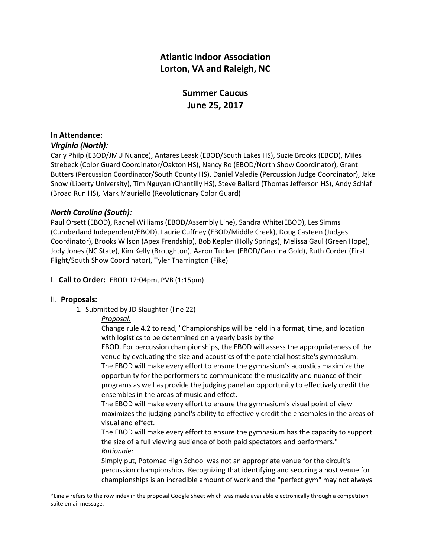# **Atlantic Indoor Association Lorton, VA and Raleigh, NC**

# **Summer Caucus June 25, 2017**

# **In Attendance:**

# *Virginia (North):*

Carly Philp (EBOD/JMU Nuance), Antares Leask (EBOD/South Lakes HS), Suzie Brooks (EBOD), Miles Strebeck (Color Guard Coordinator/Oakton HS), Nancy Ro (EBOD/North Show Coordinator), Grant Butters (Percussion Coordinator/South County HS), Daniel Valedie (Percussion Judge Coordinator), Jake Snow (Liberty University), Tim Nguyan (Chantilly HS), Steve Ballard (Thomas Jefferson HS), Andy Schlaf (Broad Run HS), Mark Mauriello (Revolutionary Color Guard)

# *North Carolina (South):*

Paul Orsett (EBOD), Rachel Williams (EBOD/Assembly Line), Sandra White(EBOD), Les Simms (Cumberland Independent/EBOD), Laurie Cuffney (EBOD/Middle Creek), Doug Casteen (Judges Coordinator), Brooks Wilson (Apex Frendship), Bob Kepler (Holly Springs), Melissa Gaul (Green Hope), Jody Jones (NC State), Kim Kelly (Broughton), Aaron Tucker (EBOD/Carolina Gold), Ruth Corder (First Flight/South Show Coordinator), Tyler Tharrington (Fike)

# I. **Call to Order:** EBOD 12:04pm, PVB (1:15pm)

# II. **Proposals:**

1. Submitted by JD Slaughter (line 22)

# *Proposal:*

Change rule 4.2 to read, "Championships will be held in a format, time, and location with logistics to be determined on a yearly basis by the

EBOD. For percussion championships, the EBOD will assess the appropriateness of the venue by evaluating the size and acoustics of the potential host site's gymnasium. The EBOD will make every effort to ensure the gymnasium's acoustics maximize the opportunity for the performers to communicate the musicality and nuance of their programs as well as provide the judging panel an opportunity to effectively credit the ensembles in the areas of music and effect.

The EBOD will make every effort to ensure the gymnasium's visual point of view maximizes the judging panel's ability to effectively credit the ensembles in the areas of visual and effect.

The EBOD will make every effort to ensure the gymnasium has the capacity to support the size of a full viewing audience of both paid spectators and performers." *Rationale:*

Simply put, Potomac High School was not an appropriate venue for the circuit's percussion championships. Recognizing that identifying and securing a host venue for championships is an incredible amount of work and the "perfect gym" may not always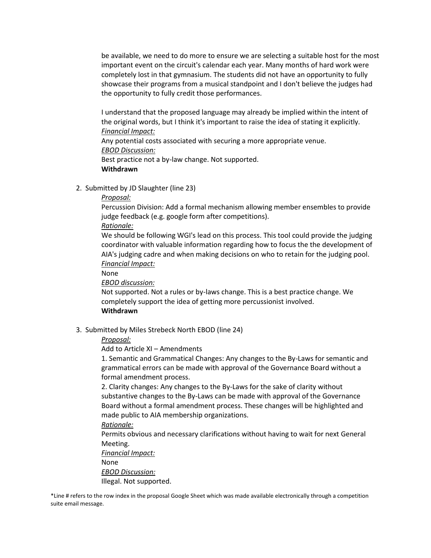be available, we need to do more to ensure we are selecting a suitable host for the most important event on the circuit's calendar each year. Many months of hard work were completely lost in that gymnasium. The students did not have an opportunity to fully showcase their programs from a musical standpoint and I don't believe the judges had the opportunity to fully credit those performances.

I understand that the proposed language may already be implied within the intent of the original words, but I think it's important to raise the idea of stating it explicitly. *Financial Impact:*

Any potential costs associated with securing a more appropriate venue. *EBOD Discussion:* Best practice not a by-law change. Not supported.

**Withdrawn**

2. Submitted by JD Slaughter (line 23)

# *Proposal:*

Percussion Division: Add a formal mechanism allowing member ensembles to provide judge feedback (e.g. google form after competitions).

*Rationale:*

We should be following WGI's lead on this process. This tool could provide the judging coordinator with valuable information regarding how to focus the the development of AIA's judging cadre and when making decisions on who to retain for the judging pool. *Financial Impact:*

None

*EBOD discussion:*

Not supported. Not a rules or by-laws change. This is a best practice change. We completely support the idea of getting more percussionist involved. **Withdrawn**

3. Submitted by Miles Strebeck North EBOD (line 24)

# *Proposal:*

Add to Article XI – Amendments

1. Semantic and Grammatical Changes: Any changes to the By-Laws for semantic and grammatical errors can be made with approval of the Governance Board without a formal amendment process.

2. Clarity changes: Any changes to the By-Laws for the sake of clarity without substantive changes to the By-Laws can be made with approval of the Governance Board without a formal amendment process. These changes will be highlighted and made public to AIA membership organizations.

# *Rationale:*

Permits obvious and necessary clarifications without having to wait for next General Meeting.

*Financial Impact:*

None

*EBOD Discussion:*

Illegal. Not supported.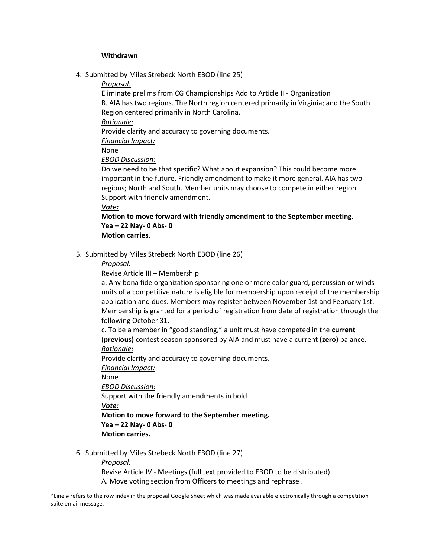#### **Withdrawn**

- 4. Submitted by Miles Strebeck North EBOD (line 25)
	- *Proposal:*

Eliminate prelims from CG Championships Add to Article II - Organization B. AIA has two regions. The North region centered primarily in Virginia; and the South Region centered primarily in North Carolina.

*Rationale:*

Provide clarity and accuracy to governing documents.

*Financial Impact:*

None

*EBOD Discussion:* 

Do we need to be that specific? What about expansion? This could become more important in the future. Friendly amendment to make it more general. AIA has two regions; North and South. Member units may choose to compete in either region. Support with friendly amendment.

### *Vote:*

**Motion to move forward with friendly amendment to the September meeting. Yea – 22 Nay- 0 Abs- 0 Motion carries.** 

5. Submitted by Miles Strebeck North EBOD (line 26)

*Proposal:*

Revise Article III – Membership

a. Any bona fide organization sponsoring one or more color guard, percussion or winds units of a competitive nature is eligible for membership upon receipt of the membership application and dues. Members may register between November 1st and February 1st. Membership is granted for a period of registration from date of registration through the following October 31.

c. To be a member in "good standing," a unit must have competed in the **current** (**previous)** contest season sponsored by AIA and must have a current **(zero)** balance. *Rationale:*

Provide clarity and accuracy to governing documents.

*Financial Impact:*

None

*EBOD Discussion:*

Support with the friendly amendments in bold

*Vote:*

**Motion to move forward to the September meeting. Yea – 22 Nay- 0 Abs- 0**

- **Motion carries.**
- 6. Submitted by Miles Strebeck North EBOD (line 27)

*Proposal:*

Revise Article IV - Meetings (full text provided to EBOD to be distributed) A. Move voting section from Officers to meetings and rephrase .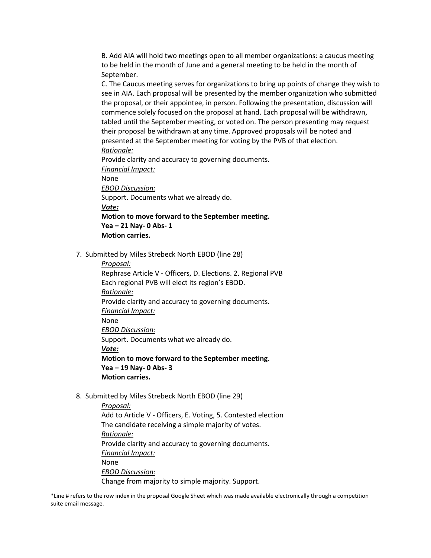B. Add AIA will hold two meetings open to all member organizations: a caucus meeting to be held in the month of June and a general meeting to be held in the month of September.

C. The Caucus meeting serves for organizations to bring up points of change they wish to see in AIA. Each proposal will be presented by the member organization who submitted the proposal, or their appointee, in person. Following the presentation, discussion will commence solely focused on the proposal at hand. Each proposal will be withdrawn, tabled until the September meeting, or voted on. The person presenting may request their proposal be withdrawn at any time. Approved proposals will be noted and presented at the September meeting for voting by the PVB of that election. *Rationale:*

Provide clarity and accuracy to governing documents.

*Financial Impact:*

None

*EBOD Discussion:*

Support. Documents what we already do.

*Vote:*

# **Motion to move forward to the September meeting. Yea – 21 Nay- 0 Abs- 1 Motion carries.**

7. Submitted by Miles Strebeck North EBOD (line 28)

*Proposal:*

Rephrase Article V - Officers, D. Elections. 2. Regional PVB Each regional PVB will elect its region's EBOD. *Rationale:* Provide clarity and accuracy to governing documents. *Financial Impact:* None *EBOD Discussion:* Support. Documents what we already do. *Vote:* **Motion to move forward to the September meeting. Yea – 19 Nay- 0 Abs- 3 Motion carries.**

8. Submitted by Miles Strebeck North EBOD (line 29)

*Proposal:* Add to Article V - Officers, E. Voting, 5. Contested election The candidate receiving a simple majority of votes. *Rationale:* Provide clarity and accuracy to governing documents. *Financial Impact:* None *EBOD Discussion:* Change from majority to simple majority. Support.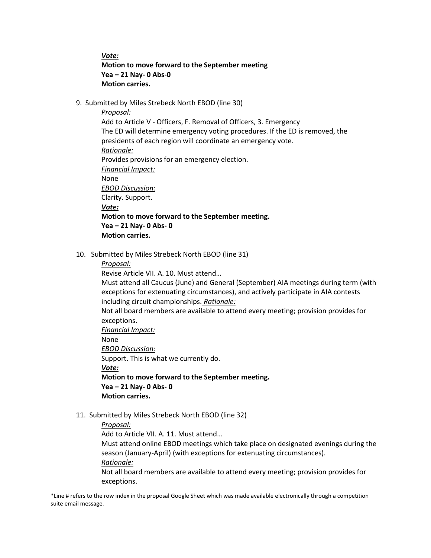*Vote:*

# **Motion to move forward to the September meeting Yea – 21 Nay- 0 Abs-0 Motion carries.**

9. Submitted by Miles Strebeck North EBOD (line 30)

*Proposal:*

Add to Article V - Officers, F. Removal of Officers, 3. Emergency The ED will determine emergency voting procedures. If the ED is removed, the presidents of each region will coordinate an emergency vote. *Rationale:* Provides provisions for an emergency election. *Financial Impact:* None *EBOD Discussion:* Clarity. Support. *Vote:* **Motion to move forward to the September meeting. Yea – 21 Nay- 0 Abs- 0 Motion carries.**

10. Submitted by Miles Strebeck North EBOD (line 31)

*Proposal:*

Revise Article VII. A. 10. Must attend…

Must attend all Caucus (June) and General (September) AIA meetings during term (with exceptions for extenuating circumstances), and actively participate in AIA contests including circuit championships. *Rationale:*

Not all board members are available to attend every meeting; provision provides for exceptions.

*Financial Impact:*

None

*EBOD Discussion:*

Support. This is what we currently do. *Vote:*

**Motion to move forward to the September meeting. Yea – 21 Nay- 0 Abs- 0 Motion carries.** 

11. Submitted by Miles Strebeck North EBOD (line 32)

# *Proposal:*

Add to Article VII. A. 11. Must attend…

Must attend online EBOD meetings which take place on designated evenings during the season (January-April) (with exceptions for extenuating circumstances).

*Rationale:*

Not all board members are available to attend every meeting; provision provides for exceptions.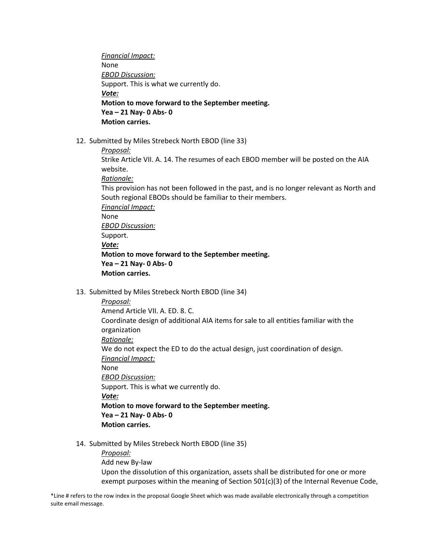*Financial Impact:*  None *EBOD Discussion:* Support. This is what we currently do. *Vote:* **Motion to move forward to the September meeting. Yea – 21 Nay- 0 Abs- 0 Motion carries.**

- 12. Submitted by Miles Strebeck North EBOD (line 33)
	- *Proposal:*

Strike Article VII. A. 14. The resumes of each EBOD member will be posted on the AIA website.

*Rationale:*

This provision has not been followed in the past, and is no longer relevant as North and South regional EBODs should be familiar to their members.

*Financial Impact:* None *EBOD Discussion:* Support. *Vote:* **Motion to move forward to the September meeting. Yea – 21 Nay- 0 Abs- 0 Motion carries.** 

13. Submitted by Miles Strebeck North EBOD (line 34)

*Proposal:* Amend Article VII. A. ED. 8. C. Coordinate design of additional AIA items for sale to all entities familiar with the organization *Rationale:* We do not expect the ED to do the actual design, just coordination of design. *Financial Impact:* None *EBOD Discussion:* Support. This is what we currently do. *Vote:* **Motion to move forward to the September meeting. Yea – 21 Nay- 0 Abs- 0 Motion carries.**

14. Submitted by Miles Strebeck North EBOD (line 35)

*Proposal:* Add new By-law Upon the dissolution of this organization, assets shall be distributed for one or more exempt purposes within the meaning of Section 501(c)(3) of the Internal Revenue Code,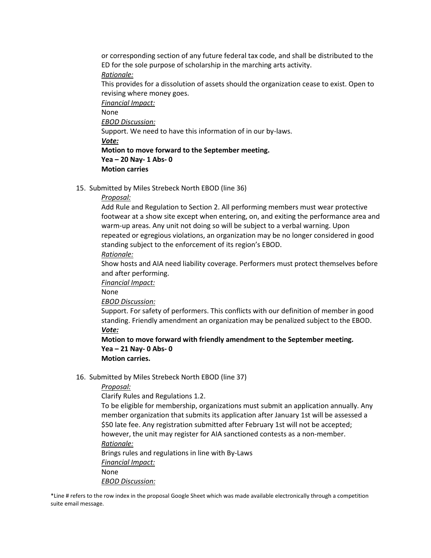or corresponding section of any future federal tax code, and shall be distributed to the ED for the sole purpose of scholarship in the marching arts activity. *Rationale:*

This provides for a dissolution of assets should the organization cease to exist. Open to revising where money goes.

*Financial Impact:* None *EBOD Discussion:* Support. We need to have this information of in our by-laws. *Vote:* **Motion to move forward to the September meeting. Yea – 20 Nay- 1 Abs- 0 Motion carries**

15. Submitted by Miles Strebeck North EBOD (line 36)

### *Proposal:*

Add Rule and Regulation to Section 2. All performing members must wear protective footwear at a show site except when entering, on, and exiting the performance area and warm-up areas. Any unit not doing so will be subject to a verbal warning. Upon repeated or egregious violations, an organization may be no longer considered in good standing subject to the enforcement of its region's EBOD.

*Rationale:*

Show hosts and AIA need liability coverage. Performers must protect themselves before and after performing.

*Financial Impact:*

None

*EBOD Discussion:*

Support. For safety of performers. This conflicts with our definition of member in good standing. Friendly amendment an organization may be penalized subject to the EBOD. *Vote:*

**Motion to move forward with friendly amendment to the September meeting. Yea – 21 Nay- 0 Abs- 0 Motion carries.**

16. Submitted by Miles Strebeck North EBOD (line 37)

*Proposal:*

Clarify Rules and Regulations 1.2.

To be eligible for membership, organizations must submit an application annually. Any member organization that submits its application after January 1st will be assessed a \$50 late fee. Any registration submitted after February 1st will not be accepted; however, the unit may register for AIA sanctioned contests as a non-member. *Rationale:*

Brings rules and regulations in line with By-Laws *Financial Impact:* None *EBOD Discussion:*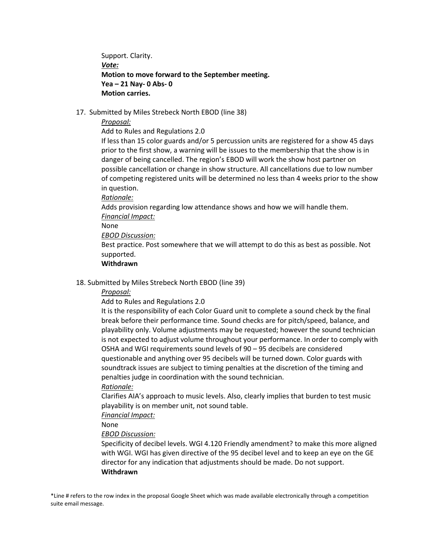Support. Clarity. *Vote:* **Motion to move forward to the September meeting. Yea – 21 Nay- 0 Abs- 0 Motion carries.** 

17. Submitted by Miles Strebeck North EBOD (line 38)

### *Proposal:*

Add to Rules and Regulations 2.0

If less than 15 color guards and/or 5 percussion units are registered for a show 45 days prior to the first show, a warning will be issues to the membership that the show is in danger of being cancelled. The region's EBOD will work the show host partner on possible cancellation or change in show structure. All cancellations due to low number of competing registered units will be determined no less than 4 weeks prior to the show in question.

*Rationale:*

Adds provision regarding low attendance shows and how we will handle them. *Financial Impact:*

None

*EBOD Discussion:*

Best practice. Post somewhere that we will attempt to do this as best as possible. Not supported.

### **Withdrawn**

### 18. Submitted by Miles Strebeck North EBOD (line 39)

*Proposal:*

Add to Rules and Regulations 2.0

It is the responsibility of each Color Guard unit to complete a sound check by the final break before their performance time. Sound checks are for pitch/speed, balance, and playability only. Volume adjustments may be requested; however the sound technician is not expected to adjust volume throughout your performance. In order to comply with OSHA and WGI requirements sound levels of 90 – 95 decibels are considered questionable and anything over 95 decibels will be turned down. Color guards with soundtrack issues are subject to timing penalties at the discretion of the timing and penalties judge in coordination with the sound technician.

#### *Rationale:*

Clarifies AIA's approach to music levels. Also, clearly implies that burden to test music playability is on member unit, not sound table.

*Financial Impact:*

None

*EBOD Discussion:*

Specificity of decibel levels. WGI 4.120 Friendly amendment? to make this more aligned with WGI. WGI has given directive of the 95 decibel level and to keep an eye on the GE director for any indication that adjustments should be made. Do not support. **Withdrawn**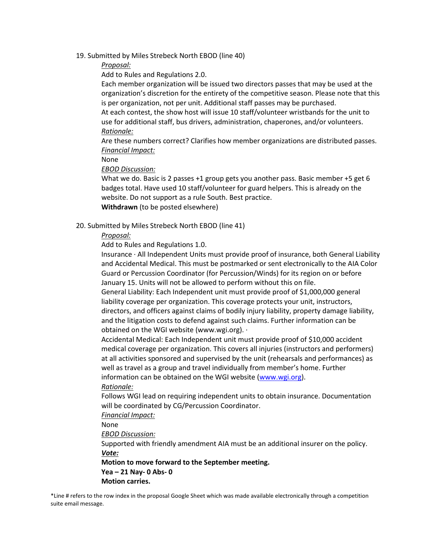19. Submitted by Miles Strebeck North EBOD (line 40)

# *Proposal:*

Add to Rules and Regulations 2.0.

Each member organization will be issued two directors passes that may be used at the organization's discretion for the entirety of the competitive season. Please note that this is per organization, not per unit. Additional staff passes may be purchased.

At each contest, the show host will issue 10 staff/volunteer wristbands for the unit to use for additional staff, bus drivers, administration, chaperones, and/or volunteers. *Rationale:*

Are these numbers correct? Clarifies how member organizations are distributed passes. *Financial Impact:*

None

*EBOD Discussion:*

What we do. Basic is 2 passes +1 group gets you another pass. Basic member +5 get 6 badges total. Have used 10 staff/volunteer for guard helpers. This is already on the website. Do not support as a rule South. Best practice. **Withdrawn** (to be posted elsewhere)

# 20. Submitted by Miles Strebeck North EBOD (line 41)

# *Proposal:*

Add to Rules and Regulations 1.0.

Insurance · All Independent Units must provide proof of insurance, both General Liability and Accidental Medical. This must be postmarked or sent electronically to the AIA Color Guard or Percussion Coordinator (for Percussion/Winds) for its region on or before January 15. Units will not be allowed to perform without this on file.

General Liability: Each Independent unit must provide proof of \$1,000,000 general liability coverage per organization. This coverage protects your unit, instructors, directors, and officers against claims of bodily injury liability, property damage liability, and the litigation costs to defend against such claims. Further information can be obtained on the WGI website (www.wgi.org). ·

Accidental Medical: Each Independent unit must provide proof of \$10,000 accident medical coverage per organization. This covers all injuries (instructors and performers) at all activities sponsored and supervised by the unit (rehearsals and performances) as well as travel as a group and travel individually from member's home. Further information can be obtained on the WGI website [\(www.wgi.org\)](http://www.wgi.org/).

#### *Rationale:*

Follows WGI lead on requiring independent units to obtain insurance. Documentation will be coordinated by CG/Percussion Coordinator.

*Financial Impact:*

None

*EBOD Discussion:*

Supported with friendly amendment AIA must be an additional insurer on the policy. *Vote:*

**Motion to move forward to the September meeting.**

**Yea – 21 Nay- 0 Abs- 0 Motion carries.**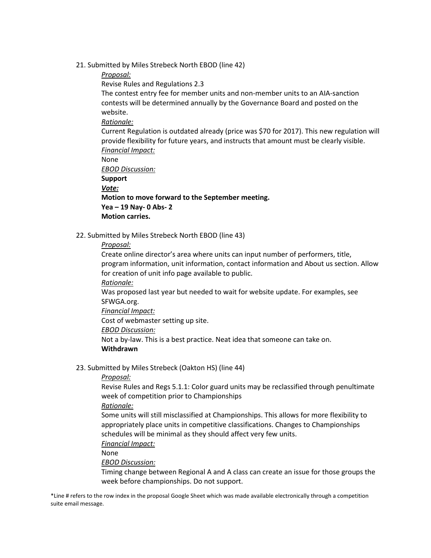- 21. Submitted by Miles Strebeck North EBOD (line 42)
	- *Proposal:*

Revise Rules and Regulations 2.3

The contest entry fee for member units and non-member units to an AIA-sanction contests will be determined annually by the Governance Board and posted on the website.

# *Rationale:*

Current Regulation is outdated already (price was \$70 for 2017). This new regulation will provide flexibility for future years, and instructs that amount must be clearly visible. *Financial Impact:*

None

*EBOD Discussion:* **Support** 

*Vote:*

**Motion to move forward to the September meeting. Yea – 19 Nay- 0 Abs- 2** 

**Motion carries.**

22. Submitted by Miles Strebeck North EBOD (line 43)

# *Proposal:*

Create online director's area where units can input number of performers, title, program information, unit information, contact information and About us section. Allow for creation of unit info page available to public. *Rationale:*

Was proposed last year but needed to wait for website update. For examples, see SFWGA.org.

*Financial Impact:*

Cost of webmaster setting up site.

*EBOD Discussion:*

Not a by-law. This is a best practice. Neat idea that someone can take on.

# **Withdrawn**

23. Submitted by Miles Strebeck (Oakton HS) (line 44)

*Proposal:*

Revise Rules and Regs 5.1.1: Color guard units may be reclassified through penultimate week of competition prior to Championships

*Rationale:*

Some units will still misclassified at Championships. This allows for more flexibility to appropriately place units in competitive classifications. Changes to Championships schedules will be minimal as they should affect very few units.

*Financial Impact:*

None

*EBOD Discussion:*

Timing change between Regional A and A class can create an issue for those groups the week before championships. Do not support.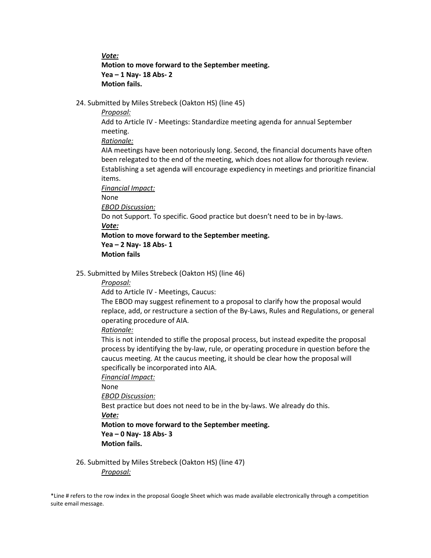*Vote:*

**Motion to move forward to the September meeting. Yea – 1 Nay- 18 Abs- 2 Motion fails.** 

24. Submitted by Miles Strebeck (Oakton HS) (line 45)

*Proposal:*

Add to Article IV - Meetings: Standardize meeting agenda for annual September meeting.

*Rationale:*

AIA meetings have been notoriously long. Second, the financial documents have often been relegated to the end of the meeting, which does not allow for thorough review. Establishing a set agenda will encourage expediency in meetings and prioritize financial items.

*Financial Impact:*

None

*EBOD Discussion:*

Do not Support. To specific. Good practice but doesn't need to be in by-laws.

*Vote:*

**Motion to move forward to the September meeting.**

**Yea – 2 Nay- 18 Abs- 1** 

**Motion fails**

25. Submitted by Miles Strebeck (Oakton HS) (line 46)

*Proposal:*

Add to Article IV - Meetings, Caucus:

The EBOD may suggest refinement to a proposal to clarify how the proposal would replace, add, or restructure a section of the By-Laws, Rules and Regulations, or general operating procedure of AIA.

*Rationale:*

This is not intended to stifle the proposal process, but instead expedite the proposal process by identifying the by-law, rule, or operating procedure in question before the caucus meeting. At the caucus meeting, it should be clear how the proposal will specifically be incorporated into AIA.

*Financial Impact:*

None

*EBOD Discussion:*

Best practice but does not need to be in the by-laws. We already do this.

*Vote:*

**Motion to move forward to the September meeting.**

**Yea – 0 Nay- 18 Abs- 3 Motion fails.**

26. Submitted by Miles Strebeck (Oakton HS) (line 47) *Proposal:*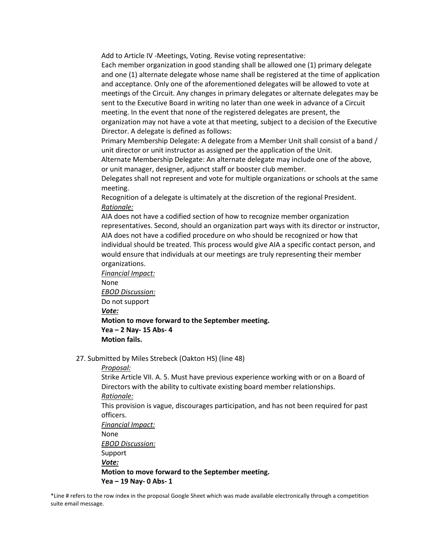Add to Article IV -Meetings, Voting. Revise voting representative:

Each member organization in good standing shall be allowed one (1) primary delegate and one (1) alternate delegate whose name shall be registered at the time of application and acceptance. Only one of the aforementioned delegates will be allowed to vote at meetings of the Circuit. Any changes in primary delegates or alternate delegates may be sent to the Executive Board in writing no later than one week in advance of a Circuit meeting. In the event that none of the registered delegates are present, the organization may not have a vote at that meeting, subject to a decision of the Executive Director. A delegate is defined as follows:

Primary Membership Delegate: A delegate from a Member Unit shall consist of a band / unit director or unit instructor as assigned per the application of the Unit.

Alternate Membership Delegate: An alternate delegate may include one of the above, or unit manager, designer, adjunct staff or booster club member.

Delegates shall not represent and vote for multiple organizations or schools at the same meeting.

Recognition of a delegate is ultimately at the discretion of the regional President. *Rationale:*

AIA does not have a codified section of how to recognize member organization representatives. Second, should an organization part ways with its director or instructor, AIA does not have a codified procedure on who should be recognized or how that individual should be treated. This process would give AIA a specific contact person, and would ensure that individuals at our meetings are truly representing their member organizations.

*Financial Impact:* None *EBOD Discussion:* Do not support *Vote:* **Motion to move forward to the September meeting. Yea – 2 Nay- 15 Abs- 4 Motion fails.**

27. Submitted by Miles Strebeck (Oakton HS) (line 48)

*Proposal:*

Strike Article VII. A. 5. Must have previous experience working with or on a Board of Directors with the ability to cultivate existing board member relationships. *Rationale:*

This provision is vague, discourages participation, and has not been required for past officers.

*Financial Impact:* None *EBOD Discussion:* Support *Vote:* **Motion to move forward to the September meeting. Yea – 19 Nay- 0 Abs- 1**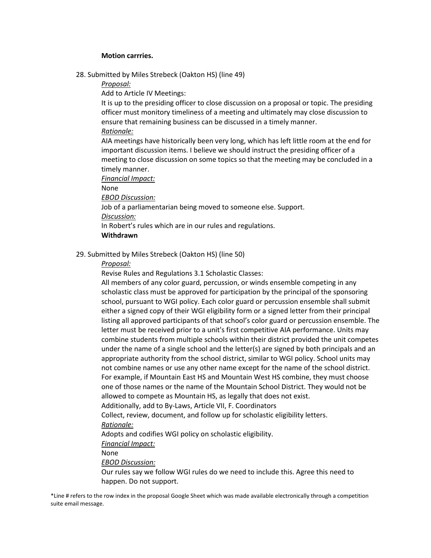#### **Motion carrries.**

28. Submitted by Miles Strebeck (Oakton HS) (line 49)

*Proposal:*

Add to Article IV Meetings:

It is up to the presiding officer to close discussion on a proposal or topic. The presiding officer must monitory timeliness of a meeting and ultimately may close discussion to ensure that remaining business can be discussed in a timely manner. *Rationale:*

AIA meetings have historically been very long, which has left little room at the end for important discussion items. I believe we should instruct the presiding officer of a meeting to close discussion on some topics so that the meeting may be concluded in a timely manner.

*Financial Impact:*

None

*EBOD Discussion:*

Job of a parliamentarian being moved to someone else. Support.

*Discussion:*

In Robert's rules which are in our rules and regulations.

```
Withdrawn
```
29. Submitted by Miles Strebeck (Oakton HS) (line 50)

*Proposal:*

Revise Rules and Regulations 3.1 Scholastic Classes:

All members of any color guard, percussion, or winds ensemble competing in any scholastic class must be approved for participation by the principal of the sponsoring school, pursuant to WGI policy. Each color guard or percussion ensemble shall submit either a signed copy of their WGI eligibility form or a signed letter from their principal listing all approved participants of that school's color guard or percussion ensemble. The letter must be received prior to a unit's first competitive AIA performance. Units may combine students from multiple schools within their district provided the unit competes under the name of a single school and the letter(s) are signed by both principals and an appropriate authority from the school district, similar to WGI policy. School units may not combine names or use any other name except for the name of the school district. For example, if Mountain East HS and Mountain West HS combine, they must choose one of those names or the name of the Mountain School District. They would not be allowed to compete as Mountain HS, as legally that does not exist.

Additionally, add to By-Laws, Article VII, F. Coordinators

Collect, review, document, and follow up for scholastic eligibility letters.

*Rationale:*

Adopts and codifies WGI policy on scholastic eligibility.

*Financial Impact:*

None

*EBOD Discussion:*

Our rules say we follow WGI rules do we need to include this. Agree this need to happen. Do not support.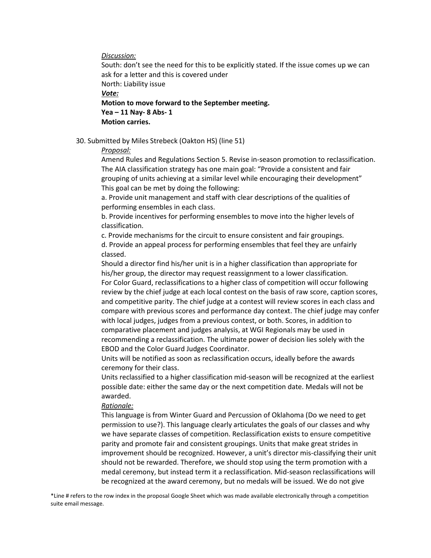*Discussion:*

South: don't see the need for this to be explicitly stated. If the issue comes up we can ask for a letter and this is covered under North: Liability issue *Vote:* **Motion to move forward to the September meeting. Yea – 11 Nay- 8 Abs- 1 Motion carries.**

30. Submitted by Miles Strebeck (Oakton HS) (line 51)

#### *Proposal:*

Amend Rules and Regulations Section 5. Revise in-season promotion to reclassification. The AIA classification strategy has one main goal: "Provide a consistent and fair grouping of units achieving at a similar level while encouraging their development" This goal can be met by doing the following:

a. Provide unit management and staff with clear descriptions of the qualities of performing ensembles in each class.

b. Provide incentives for performing ensembles to move into the higher levels of classification.

c. Provide mechanisms for the circuit to ensure consistent and fair groupings.

d. Provide an appeal process for performing ensembles that feel they are unfairly classed.

Should a director find his/her unit is in a higher classification than appropriate for his/her group, the director may request reassignment to a lower classification. For Color Guard, reclassifications to a higher class of competition will occur following review by the chief judge at each local contest on the basis of raw score, caption scores, and competitive parity. The chief judge at a contest will review scores in each class and compare with previous scores and performance day context. The chief judge may confer with local judges, judges from a previous contest, or both. Scores, in addition to comparative placement and judges analysis, at WGI Regionals may be used in recommending a reclassification. The ultimate power of decision lies solely with the EBOD and the Color Guard Judges Coordinator.

Units will be notified as soon as reclassification occurs, ideally before the awards ceremony for their class.

Units reclassified to a higher classification mid-season will be recognized at the earliest possible date: either the same day or the next competition date. Medals will not be awarded.

#### *Rationale:*

This language is from Winter Guard and Percussion of Oklahoma (Do we need to get permission to use?). This language clearly articulates the goals of our classes and why we have separate classes of competition. Reclassification exists to ensure competitive parity and promote fair and consistent groupings. Units that make great strides in improvement should be recognized. However, a unit's director mis-classifying their unit should not be rewarded. Therefore, we should stop using the term promotion with a medal ceremony, but instead term it a reclassification. Mid-season reclassifications will be recognized at the award ceremony, but no medals will be issued. We do not give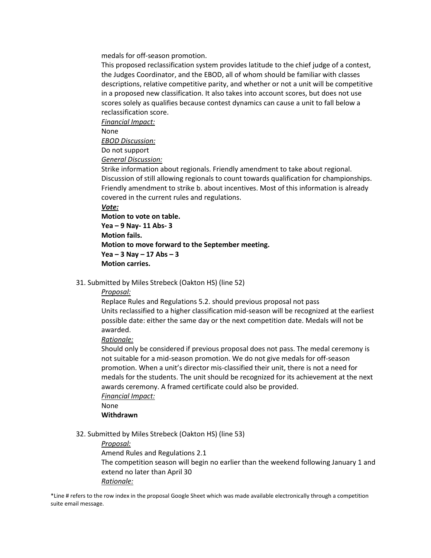medals for off-season promotion.

This proposed reclassification system provides latitude to the chief judge of a contest, the Judges Coordinator, and the EBOD, all of whom should be familiar with classes descriptions, relative competitive parity, and whether or not a unit will be competitive in a proposed new classification. It also takes into account scores, but does not use scores solely as qualifies because contest dynamics can cause a unit to fall below a reclassification score.

*Financial Impact:*

None

*EBOD Discussion:*

Do not support

*General Discussion:*

Strike information about regionals. Friendly amendment to take about regional. Discussion of still allowing regionals to count towards qualification for championships. Friendly amendment to strike b. about incentives. Most of this information is already covered in the current rules and regulations.

### *Vote:*

```
Motion to vote on table.
Yea – 9 Nay- 11 Abs- 3
Motion fails.
Motion to move forward to the September meeting.
Yea – 3 Nay – 17 Abs – 3
Motion carries.
```
31. Submitted by Miles Strebeck (Oakton HS) (line 52)

#### *Proposal:*

Replace Rules and Regulations 5.2. should previous proposal not pass Units reclassified to a higher classification mid-season will be recognized at the earliest possible date: either the same day or the next competition date. Medals will not be awarded.

*Rationale:*

Should only be considered if previous proposal does not pass. The medal ceremony is not suitable for a mid-season promotion. We do not give medals for off-season promotion. When a unit's director mis-classified their unit, there is not a need for medals for the students. The unit should be recognized for its achievement at the next awards ceremony. A framed certificate could also be provided. *Financial Impact:*

None

# **Withdrawn**

32. Submitted by Miles Strebeck (Oakton HS) (line 53)

*Proposal:*

Amend Rules and Regulations 2.1 The competition season will begin no earlier than the weekend following January 1 and extend no later than April 30 *Rationale:*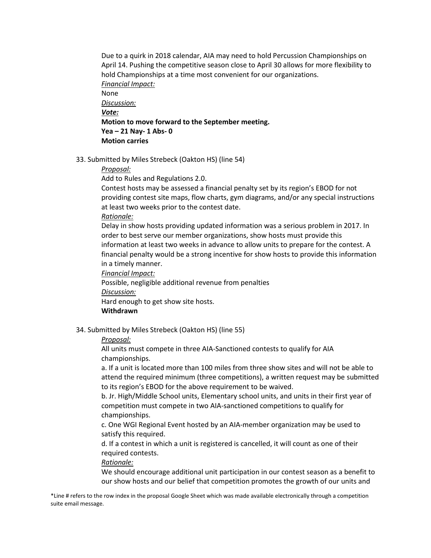Due to a quirk in 2018 calendar, AIA may need to hold Percussion Championships on April 14. Pushing the competitive season close to April 30 allows for more flexibility to hold Championships at a time most convenient for our organizations. *Financial Impact:* None *Discussion: Vote:* **Motion to move forward to the September meeting. Yea – 21 Nay- 1 Abs- 0 Motion carries**

33. Submitted by Miles Strebeck (Oakton HS) (line 54)

#### *Proposal:*

Add to Rules and Regulations 2.0.

Contest hosts may be assessed a financial penalty set by its region's EBOD for not providing contest site maps, flow charts, gym diagrams, and/or any special instructions at least two weeks prior to the contest date.

#### *Rationale:*

Delay in show hosts providing updated information was a serious problem in 2017. In order to best serve our member organizations, show hosts must provide this information at least two weeks in advance to allow units to prepare for the contest. A financial penalty would be a strong incentive for show hosts to provide this information in a timely manner.

*Financial Impact:*

Possible, negligible additional revenue from penalties *Discussion:* Hard enough to get show site hosts.

# **Withdrawn**

34. Submitted by Miles Strebeck (Oakton HS) (line 55)

#### *Proposal:*

All units must compete in three AIA-Sanctioned contests to qualify for AIA championships.

a. If a unit is located more than 100 miles from three show sites and will not be able to attend the required minimum (three competitions), a written request may be submitted to its region's EBOD for the above requirement to be waived.

b. Jr. High/Middle School units, Elementary school units, and units in their first year of competition must compete in two AIA-sanctioned competitions to qualify for championships.

c. One WGI Regional Event hosted by an AIA-member organization may be used to satisfy this required.

d. If a contest in which a unit is registered is cancelled, it will count as one of their required contests.

#### *Rationale:*

We should encourage additional unit participation in our contest season as a benefit to our show hosts and our belief that competition promotes the growth of our units and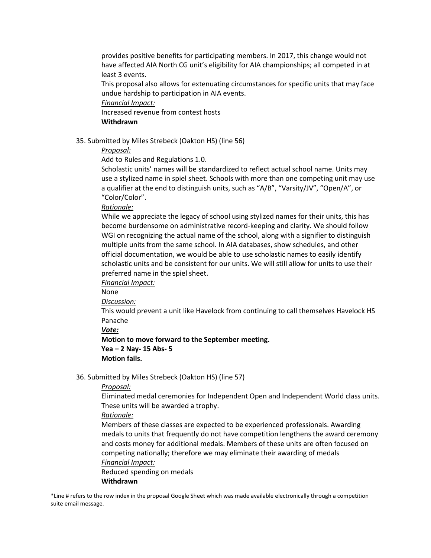provides positive benefits for participating members. In 2017, this change would not have affected AIA North CG unit's eligibility for AIA championships; all competed in at least 3 events.

This proposal also allows for extenuating circumstances for specific units that may face undue hardship to participation in AIA events.

*Financial Impact:*

Increased revenue from contest hosts **Withdrawn**

35. Submitted by Miles Strebeck (Oakton HS) (line 56)

*Proposal:*

Add to Rules and Regulations 1.0.

Scholastic units' names will be standardized to reflect actual school name. Units may use a stylized name in spiel sheet. Schools with more than one competing unit may use a qualifier at the end to distinguish units, such as "A/B", "Varsity/JV", "Open/A", or "Color/Color".

### *Rationale:*

While we appreciate the legacy of school using stylized names for their units, this has become burdensome on administrative record-keeping and clarity. We should follow WGI on recognizing the actual name of the school, along with a signifier to distinguish multiple units from the same school. In AIA databases, show schedules, and other official documentation, we would be able to use scholastic names to easily identify scholastic units and be consistent for our units. We will still allow for units to use their preferred name in the spiel sheet.

*Financial Impact:*

None

*Discussion:*

This would prevent a unit like Havelock from continuing to call themselves Havelock HS Panache

*Vote:*

**Motion to move forward to the September meeting. Yea – 2 Nay- 15 Abs- 5 Motion fails.**

36. Submitted by Miles Strebeck (Oakton HS) (line 57)

#### *Proposal:*

Eliminated medal ceremonies for Independent Open and Independent World class units. These units will be awarded a trophy.

*Rationale:*

Members of these classes are expected to be experienced professionals. Awarding medals to units that frequently do not have competition lengthens the award ceremony and costs money for additional medals. Members of these units are often focused on competing nationally; therefore we may eliminate their awarding of medals *Financial Impact:*

Reduced spending on medals **Withdrawn**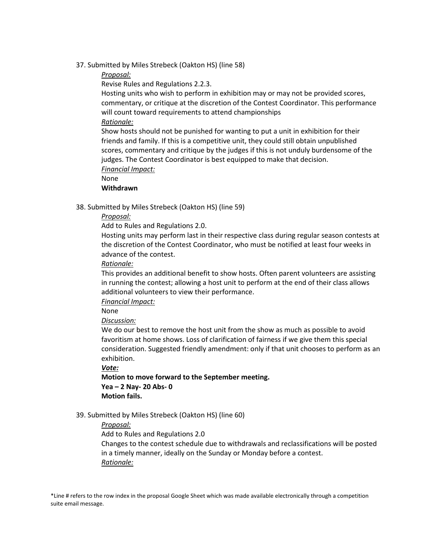37. Submitted by Miles Strebeck (Oakton HS) (line 58)

### *Proposal:*

Revise Rules and Regulations 2.2.3.

Hosting units who wish to perform in exhibition may or may not be provided scores, commentary, or critique at the discretion of the Contest Coordinator. This performance will count toward requirements to attend championships

### *Rationale:*

Show hosts should not be punished for wanting to put a unit in exhibition for their friends and family. If this is a competitive unit, they could still obtain unpublished scores, commentary and critique by the judges if this is not unduly burdensome of the judges. The Contest Coordinator is best equipped to make that decision. *Financial Impact:*

None

**Withdrawn**

38. Submitted by Miles Strebeck (Oakton HS) (line 59)

### *Proposal:*

Add to Rules and Regulations 2.0.

Hosting units may perform last in their respective class during regular season contests at the discretion of the Contest Coordinator, who must be notified at least four weeks in advance of the contest.

### *Rationale:*

This provides an additional benefit to show hosts. Often parent volunteers are assisting in running the contest; allowing a host unit to perform at the end of their class allows additional volunteers to view their performance.

*Financial Impact:*

None

# *Discussion:*

We do our best to remove the host unit from the show as much as possible to avoid favoritism at home shows. Loss of clarification of fairness if we give them this special consideration. Suggested friendly amendment: only if that unit chooses to perform as an exhibition.

*Vote:*

**Motion to move forward to the September meeting. Yea – 2 Nay- 20 Abs- 0 Motion fails.**

# 39. Submitted by Miles Strebeck (Oakton HS) (line 60)

# *Proposal:*

Add to Rules and Regulations 2.0

Changes to the contest schedule due to withdrawals and reclassifications will be posted in a timely manner, ideally on the Sunday or Monday before a contest. *Rationale:*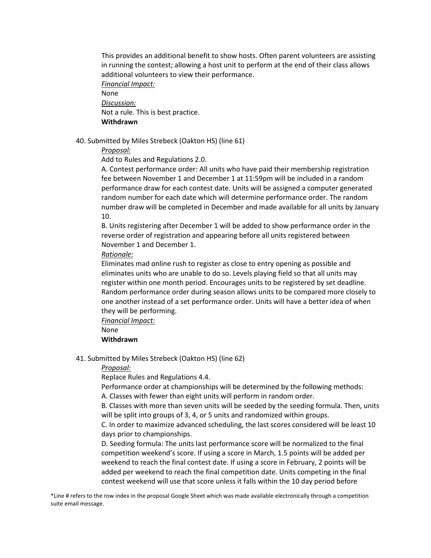This provides an additional benefit to show hosts. Often parent volunteers are assisting in running the contest; allowing a host unit to perform at the end of their class allows additional volunteers to view their performance.

*Financial Impact:* None *Discussion:* Not a rule. This is best practice.

**Withdrawn**

40. Submitted by Miles Strebeck (Oakton HS) (line 61)

*Proposal:*

Add to Rules and Regulations 2.0.

A. Contest performance order: All units who have paid their membership registration fee between November 1 and December 1 at 11:59pm will be included in a random performance draw for each contest date. Units will be assigned a computer generated random number for each date which will determine performance order. The random number draw will be completed in December and made available for all units by January 10.

B. Units registering after December 1 will be added to show performance order in the reverse order of registration and appearing before all units registered between November 1 and December 1.

*Rationale:*

Eliminates mad online rush to register as close to entry opening as possible and eliminates units who are unable to do so. Levels playing field so that all units may register within one month period. Encourages units to be registered by set deadline. Random performance order during season allows units to be compared more closely to one another instead of a set performance order. Units will have a better idea of when they will be performing.

*Financial Impact:*

None

# **Withdrawn**

41. Submitted by Miles Strebeck (Oakton HS) (line 62)

*Proposal:*

Replace Rules and Regulations 4.4.

Performance order at championships will be determined by the following methods:

A. Classes with fewer than eight units will perform in random order.

B. Classes with more than seven units will be seeded by the seeding formula. Then, units will be split into groups of 3, 4, or 5 units and randomized within groups.

C. In order to maximize advanced scheduling, the last scores considered will be least 10 days prior to championships.

D. Seeding formula: The units last performance score will be normalized to the final competition weekend's score. If using a score in March, 1.5 points will be added per weekend to reach the final contest date. If using a score in February, 2 points will be added per weekend to reach the final competition date. Units competing in the final contest weekend will use that score unless it falls within the 10 day period before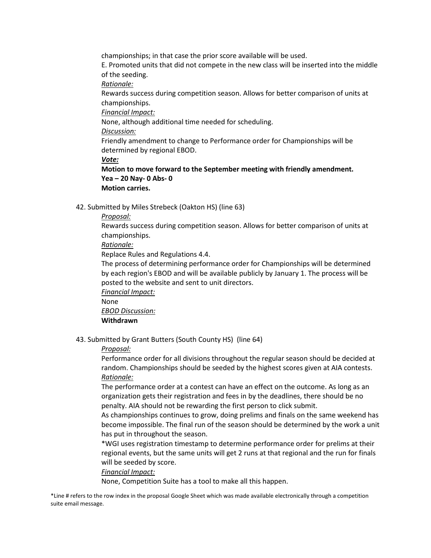championships; in that case the prior score available will be used.

E. Promoted units that did not compete in the new class will be inserted into the middle of the seeding.

*Rationale:*

Rewards success during competition season. Allows for better comparison of units at championships.

*Financial Impact:*

None, although additional time needed for scheduling.

*Discussion:*

Friendly amendment to change to Performance order for Championships will be determined by regional EBOD.

*Vote:*

**Motion to move forward to the September meeting with friendly amendment. Yea – 20 Nay- 0 Abs- 0 Motion carries.**

42. Submitted by Miles Strebeck (Oakton HS) (line 63)

# *Proposal:*

Rewards success during competition season. Allows for better comparison of units at championships.

*Rationale:*

Replace Rules and Regulations 4.4.

The process of determining performance order for Championships will be determined by each region's EBOD and will be available publicly by January 1. The process will be posted to the website and sent to unit directors.

*Financial Impact:*

None

*EBOD Discussion:*

# **Withdrawn**

43. Submitted by Grant Butters (South County HS) (line 64)

# *Proposal:*

Performance order for all divisions throughout the regular season should be decided at random. Championships should be seeded by the highest scores given at AIA contests. *Rationale:*

The performance order at a contest can have an effect on the outcome. As long as an organization gets their registration and fees in by the deadlines, there should be no penalty. AIA should not be rewarding the first person to click submit.

As championships continues to grow, doing prelims and finals on the same weekend has become impossible. The final run of the season should be determined by the work a unit has put in throughout the season.

\*WGI uses registration timestamp to determine performance order for prelims at their regional events, but the same units will get 2 runs at that regional and the run for finals will be seeded by score.

# *Financial Impact:*

None, Competition Suite has a tool to make all this happen.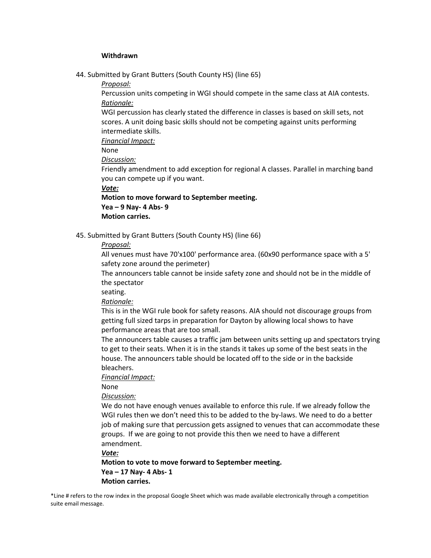#### **Withdrawn**

44. Submitted by Grant Butters (South County HS) (line 65)

*Proposal:*

Percussion units competing in WGI should compete in the same class at AIA contests. *Rationale:*

WGI percussion has clearly stated the difference in classes is based on skill sets, not scores. A unit doing basic skills should not be competing against units performing intermediate skills.

*Financial Impact:*

None

*Discussion:*

Friendly amendment to add exception for regional A classes. Parallel in marching band you can compete up if you want.

*Vote:*

**Motion to move forward to September meeting.**

**Yea – 9 Nay- 4 Abs- 9**

**Motion carries.**

45. Submitted by Grant Butters (South County HS) (line 66)

# *Proposal:*

All venues must have 70'x100' performance area. (60x90 performance space with a 5' safety zone around the perimeter)

The announcers table cannot be inside safety zone and should not be in the middle of the spectator

seating.

*Rationale:*

This is in the WGI rule book for safety reasons. AIA should not discourage groups from getting full sized tarps in preparation for Dayton by allowing local shows to have performance areas that are too small.

The announcers table causes a traffic jam between units setting up and spectators trying to get to their seats. When it is in the stands it takes up some of the best seats in the house. The announcers table should be located off to the side or in the backside bleachers.

*Financial Impact:*

None

*Discussion:*

We do not have enough venues available to enforce this rule. If we already follow the WGI rules then we don't need this to be added to the by-laws. We need to do a better job of making sure that percussion gets assigned to venues that can accommodate these groups. If we are going to not provide this then we need to have a different amendment.

*Vote:*

**Motion to vote to move forward to September meeting. Yea – 17 Nay- 4 Abs- 1 Motion carries.**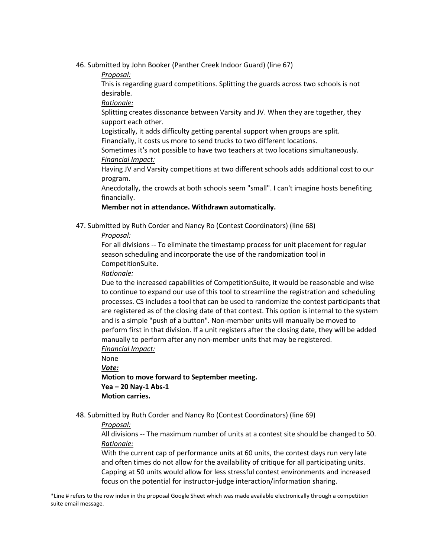46. Submitted by John Booker (Panther Creek Indoor Guard) (line 67)

*Proposal:*

This is regarding guard competitions. Splitting the guards across two schools is not desirable.

*Rationale:*

Splitting creates dissonance between Varsity and JV. When they are together, they support each other.

Logistically, it adds difficulty getting parental support when groups are split. Financially, it costs us more to send trucks to two different locations.

Sometimes it's not possible to have two teachers at two locations simultaneously. *Financial Impact:*

Having JV and Varsity competitions at two different schools adds additional cost to our program.

Anecdotally, the crowds at both schools seem "small". I can't imagine hosts benefiting financially.

# **Member not in attendance. Withdrawn automatically.**

47. Submitted by Ruth Corder and Nancy Ro (Contest Coordinators) (line 68)

*Proposal:*

For all divisions -- To eliminate the timestamp process for unit placement for regular season scheduling and incorporate the use of the randomization tool in CompetitionSuite.

*Rationale:*

Due to the increased capabilities of CompetitionSuite, it would be reasonable and wise to continue to expand our use of this tool to streamline the registration and scheduling processes. CS includes a tool that can be used to randomize the contest participants that are registered as of the closing date of that contest. This option is internal to the system and is a simple "push of a button". Non-member units will manually be moved to perform first in that division. If a unit registers after the closing date, they will be added manually to perform after any non-member units that may be registered. *Financial Impact:*

None *Vote:*

**Motion to move forward to September meeting. Yea – 20 Nay-1 Abs-1 Motion carries.**

48. Submitted by Ruth Corder and Nancy Ro (Contest Coordinators) (line 69)

# *Proposal:*

All divisions -- The maximum number of units at a contest site should be changed to 50. *Rationale:*

With the current cap of performance units at 60 units, the contest days run very late and often times do not allow for the availability of critique for all participating units. Capping at 50 units would allow for less stressful contest environments and increased focus on the potential for instructor-judge interaction/information sharing.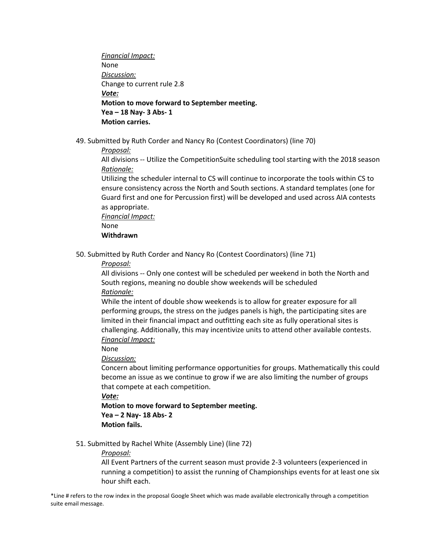*Financial Impact:* None *Discussion:* Change to current rule 2.8 *Vote:* **Motion to move forward to September meeting. Yea – 18 Nay- 3 Abs- 1 Motion carries.**

49. Submitted by Ruth Corder and Nancy Ro (Contest Coordinators) (line 70)

*Proposal:*

All divisions -- Utilize the CompetitionSuite scheduling tool starting with the 2018 season *Rationale:*

Utilizing the scheduler internal to CS will continue to incorporate the tools within CS to ensure consistency across the North and South sections. A standard templates (one for Guard first and one for Percussion first) will be developed and used across AIA contests as appropriate.

*Financial Impact:*

None

#### **Withdrawn**

50. Submitted by Ruth Corder and Nancy Ro (Contest Coordinators) (line 71)

*Proposal:*

All divisions -- Only one contest will be scheduled per weekend in both the North and South regions, meaning no double show weekends will be scheduled *Rationale:*

While the intent of double show weekends is to allow for greater exposure for all performing groups, the stress on the judges panels is high, the participating sites are limited in their financial impact and outfitting each site as fully operational sites is challenging. Additionally, this may incentivize units to attend other available contests. *Financial Impact:*

None

*Discussion:*

Concern about limiting performance opportunities for groups. Mathematically this could become an issue as we continue to grow if we are also limiting the number of groups that compete at each competition.

*Vote:*

**Motion to move forward to September meeting. Yea – 2 Nay- 18 Abs- 2 Motion fails.**

51. Submitted by Rachel White (Assembly Line) (line 72)

*Proposal:*

All Event Partners of the current season must provide 2-3 volunteers (experienced in running a competition) to assist the running of Championships events for at least one six hour shift each.